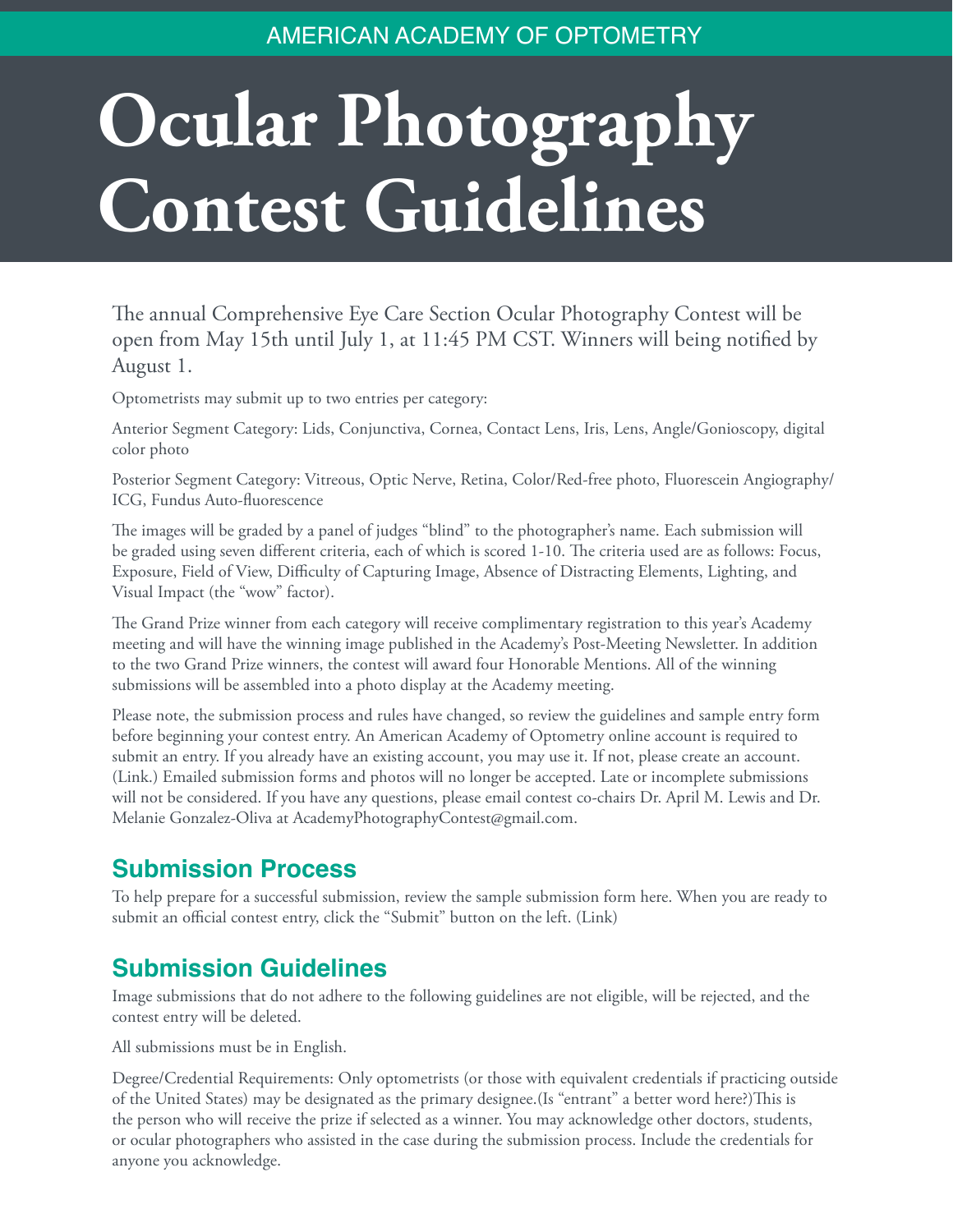## AMERICAN ACADEMY OF OPTOMETRY

## **Ocular Photography Contest Guidelines**

The annual Comprehensive Eye Care Section Ocular Photography Contest will be open from May 15th until July 1, at 11:45 PM CST. Winners will being notified by August 1.

Optometrists may submit up to two entries per category:

Anterior Segment Category: Lids, Conjunctiva, Cornea, Contact Lens, Iris, Lens, Angle/Gonioscopy, digital color photo

Posterior Segment Category: Vitreous, Optic Nerve, Retina, Color/Red-free photo, Fluorescein Angiography/ ICG, Fundus Auto-fluorescence

The images will be graded by a panel of judges "blind" to the photographer's name. Each submission will be graded using seven different criteria, each of which is scored 1-10. The criteria used are as follows: Focus, Exposure, Field of View, Difficulty of Capturing Image, Absence of Distracting Elements, Lighting, and Visual Impact (the "wow" factor).

The Grand Prize winner from each category will receive complimentary registration to this year's Academy meeting and will have the winning image published in the Academy's Post-Meeting Newsletter. In addition to the two Grand Prize winners, the contest will award four Honorable Mentions. All of the winning submissions will be assembled into a photo display at the Academy meeting.

Please note, the submission process and rules have changed, so review the guidelines and sample entry form before beginning your contest entry. An American Academy of Optometry online account is required to submit an entry. If you already have an existing account, you may use it. If not, please create an account. (Link.) Emailed submission forms and photos will no longer be accepted. Late or incomplete submissions will not be considered. If you have any questions, please email contest co-chairs Dr. April M. Lewis and Dr. Melanie Gonzalez-Oliva at AcademyPhotographyContest@gmail.com.

## **Submission Process**

To help prepare for a successful submission, review the sample submission form here. When you are ready to submit an official contest entry, click the "Submit" button on the left. (Link)

## **Submission Guidelines**

Image submissions that do not adhere to the following guidelines are not eligible, will be rejected, and the contest entry will be deleted.

All submissions must be in English.

Degree/Credential Requirements: Only optometrists (or those with equivalent credentials if practicing outside of the United States) may be designated as the primary designee.(Is "entrant" a better word here?)This is the person who will receive the prize if selected as a winner. You may acknowledge other doctors, students, or ocular photographers who assisted in the case during the submission process. Include the credentials for anyone you acknowledge.